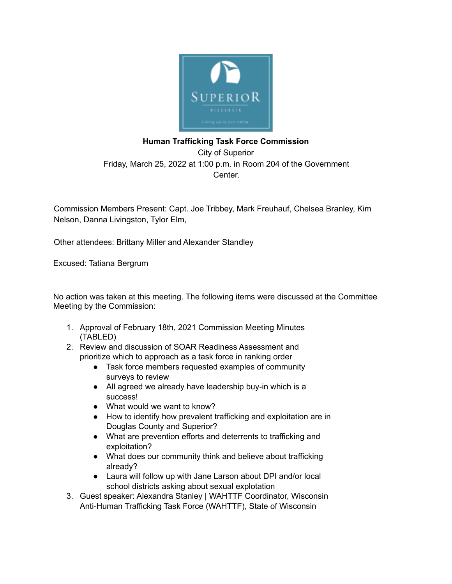

## **Human Trafficking Task Force Commission** City of Superior Friday, March 25, 2022 at 1:00 p.m. in Room 204 of the Government Center.

Commission Members Present: Capt. Joe Tribbey, Mark Freuhauf, Chelsea Branley, Kim Nelson, Danna Livingston, Tylor Elm,

Other attendees: Brittany Miller and Alexander Standley

Excused: Tatiana Bergrum

No action was taken at this meeting. The following items were discussed at the Committee Meeting by the Commission:

- 1. Approval of February 18th, 2021 Commission Meeting Minutes (TABLED)
- 2. Review and discussion of SOAR Readiness Assessment and prioritize which to approach as a task force in ranking order
	- Task force members requested examples of community surveys to review
	- All agreed we already have leadership buy-in which is a success!
	- What would we want to know?
	- How to identify how prevalent trafficking and exploitation are in Douglas County and Superior?
	- What are prevention efforts and deterrents to trafficking and exploitation?
	- What does our community think and believe about trafficking already?
	- Laura will follow up with Jane Larson about DPI and/or local school districts asking about sexual explotation
- 3. Guest speaker: Alexandra Stanley | WAHTTF Coordinator, Wisconsin Anti-Human Trafficking Task Force (WAHTTF), State of Wisconsin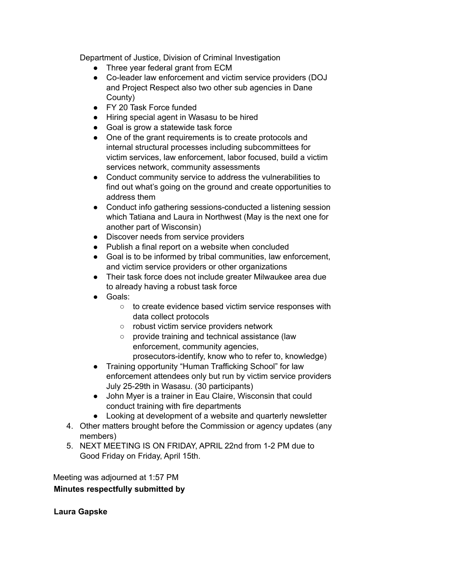Department of Justice, Division of Criminal Investigation

- Three year federal grant from ECM
- Co-leader law enforcement and victim service providers (DOJ and Project Respect also two other sub agencies in Dane County)
- FY 20 Task Force funded
- Hiring special agent in Wasasu to be hired
- Goal is grow a statewide task force
- One of the grant requirements is to create protocols and internal structural processes including subcommittees for victim services, law enforcement, labor focused, build a victim services network, community assessments
- Conduct community service to address the vulnerabilities to find out what's going on the ground and create opportunities to address them
- Conduct info gathering sessions-conducted a listening session which Tatiana and Laura in Northwest (May is the next one for another part of Wisconsin)
- Discover needs from service providers
- Publish a final report on a website when concluded
- Goal is to be informed by tribal communities, law enforcement, and victim service providers or other organizations
- Their task force does not include greater Milwaukee area due to already having a robust task force
- Goals:
	- to create evidence based victim service responses with data collect protocols
	- robust victim service providers network
	- provide training and technical assistance (law enforcement, community agencies, prosecutors-identify, know who to refer to, knowledge)
- Training opportunity "Human Trafficking School" for law enforcement attendees only but run by victim service providers July 25-29th in Wasasu. (30 participants)
- John Myer is a trainer in Eau Claire, Wisconsin that could conduct training with fire departments
- Looking at development of a website and quarterly newsletter
- 4. Other matters brought before the Commission or agency updates (any members)
- 5. NEXT MEETING IS ON FRIDAY, APRIL 22nd from 1-2 PM due to Good Friday on Friday, April 15th.

Meeting was adjourned at 1:57 PM

## **Minutes respectfully submitted by**

**Laura Gapske**